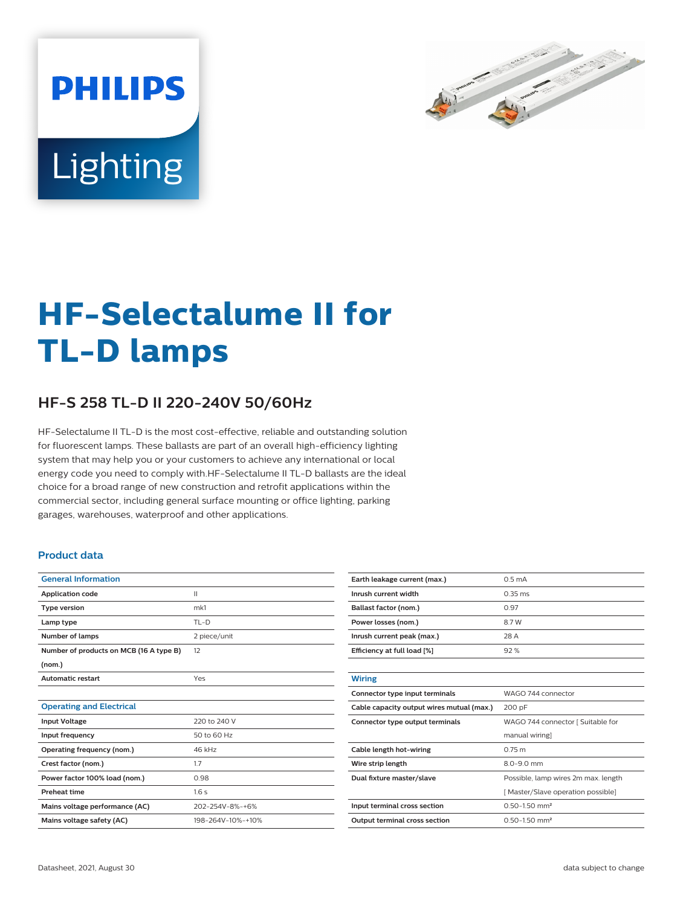

# Lighting

**PHILIPS** 

# **HF-Selectalume II for TL-D lamps**

## **HF-S 258 TL-D II 220-240V 50/60Hz**

HF-Selectalume II TL-D is the most cost-effective, reliable and outstanding solution for fluorescent lamps. These ballasts are part of an overall high-efficiency lighting system that may help you or your customers to achieve any international or local energy code you need to comply with.HF-Selectalume II TL-D ballasts are the ideal choice for a broad range of new construction and retrofit applications within the commercial sector, including general surface mounting or office lighting, parking garages, warehouses, waterproof and other applications.

#### **Product data**

| <b>General Information</b>              |                   |
|-----------------------------------------|-------------------|
| <b>Application code</b>                 | $\mathbf{H}$      |
| <b>Type version</b>                     | mk1               |
| Lamp type                               | $TL-D$            |
| Number of lamps                         | 2 piece/unit      |
| Number of products on MCB (16 A type B) | 12                |
| (nom.)                                  |                   |
| <b>Automatic restart</b>                | Yes               |
|                                         |                   |
| <b>Operating and Electrical</b>         |                   |
| <b>Input Voltage</b>                    | 220 to 240 V      |
| Input frequency                         | 50 to 60 Hz       |
| Operating frequency (nom.)              | 46 kHz            |
| Crest factor (nom.)                     | 1.7               |
| Power factor 100% load (nom.)           | 0.98              |
| <b>Preheat time</b>                     | 1.6s              |
| Mains voltage performance (AC)          | 202-254V-8%-+6%   |
| Mains voltage safety (AC)               | 198-264V-10%-+10% |

| Earth leakage current (max.)              | 0.5 <sub>m</sub> A                  |  |  |
|-------------------------------------------|-------------------------------------|--|--|
| Inrush current width                      | $0.35 \, \text{ms}$                 |  |  |
| Ballast factor (nom.)                     | 0.97                                |  |  |
| Power losses (nom.)                       | 8.7W                                |  |  |
| Inrush current peak (max.)                | 28 A                                |  |  |
| Efficiency at full load [%]               | 92%                                 |  |  |
|                                           |                                     |  |  |
| <b>Wiring</b>                             |                                     |  |  |
| Connector type input terminals            | WAGO 744 connector                  |  |  |
|                                           | 200 pF                              |  |  |
| Cable capacity output wires mutual (max.) |                                     |  |  |
| Connector type output terminals           | WAGO 744 connector [ Suitable for   |  |  |
|                                           | manual wiring]                      |  |  |
| Cable length hot-wiring                   | 0.75 m                              |  |  |
| Wire strip length                         | $8.0 - 9.0$ mm                      |  |  |
| Dual fixture master/slave                 | Possible, lamp wires 2m max. length |  |  |
|                                           | [Master/Slave operation possible]   |  |  |
| Input terminal cross section              | $0.50 - 1.50$ mm <sup>2</sup>       |  |  |
| <b>Output terminal cross section</b>      | $0.50 - 1.50$ mm <sup>2</sup>       |  |  |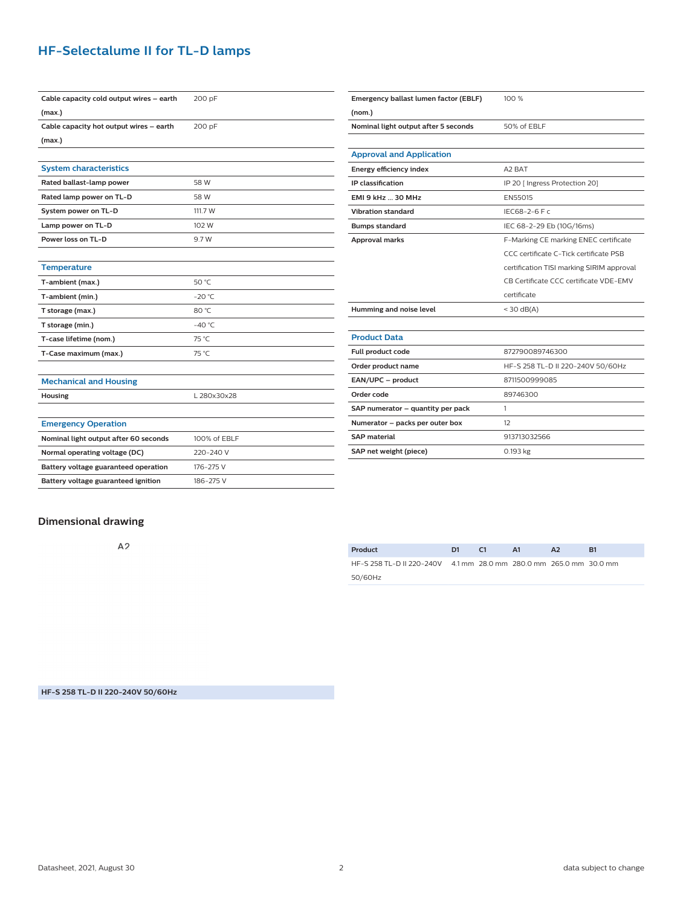### **HF-Selectalume II for TL-D lamps**

| Cable capacity cold output wires - earth | 200 pF          |
|------------------------------------------|-----------------|
| (max.)                                   |                 |
| Cable capacity hot output wires - earth  | 200 pF          |
| (max.)                                   |                 |
|                                          |                 |
| <b>System characteristics</b>            |                 |
| Rated ballast-lamp power                 | 58 W            |
| Rated lamp power on TL-D                 | 58 W            |
| System power on TL-D                     | 111.7 W         |
| Lamp power on TL-D                       | 102 W           |
| Power loss on TL-D                       | 9.7 W           |
|                                          |                 |
| <b>Temperature</b>                       |                 |
| T-ambient (max.)                         | 50 °C           |
| T-ambient (min.)                         | $-20 °C$        |
| T storage (max.)                         | 80 °C           |
| T storage (min.)                         | $-40^{\circ}$ C |
| T-case lifetime (nom.)                   | 75 °C           |
| T-Case maximum (max.)                    | 75 °C           |
|                                          |                 |
| <b>Mechanical and Housing</b>            |                 |
| Housing                                  | L 280x30x28     |
|                                          |                 |
| <b>Emergency Operation</b>               |                 |
| Nominal light output after 60 seconds    | 100% of FBLF    |
| Normal operating voltage (DC)            | 220-240 V       |
| Battery voltage guaranteed operation     | 176-275 V       |
| Battery voltage guaranteed ignition      | 186-275 V       |

| Emergency ballast lumen factor (EBLF) | 100 %                                     |  |  |
|---------------------------------------|-------------------------------------------|--|--|
| (nom.)                                |                                           |  |  |
| Nominal light output after 5 seconds  | 50% of EBLF                               |  |  |
|                                       |                                           |  |  |
| <b>Approval and Application</b>       |                                           |  |  |
| Energy efficiency index               | A <sub>2</sub> BAT                        |  |  |
| <b>IP</b> classification              | IP 20 [ Ingress Protection 20]            |  |  |
| <b>EMI 9 kHz  30 MHz</b>              | EN55015                                   |  |  |
| <b>Vibration standard</b>             | IEC68-2-6 F c                             |  |  |
| <b>Bumps standard</b>                 | IEC 68-2-29 Eb (10G/16ms)                 |  |  |
| <b>Approval marks</b>                 | F-Marking CE marking ENEC certificate     |  |  |
|                                       | CCC certificate C-Tick certificate PSB    |  |  |
|                                       | certification TISI marking SIRIM approval |  |  |
|                                       | CB Certificate CCC certificate VDE-EMV    |  |  |
|                                       | certificate                               |  |  |
| Humming and noise level               | $<$ 30 dB(A)                              |  |  |
|                                       |                                           |  |  |
| <b>Product Data</b>                   |                                           |  |  |
| Full product code                     | 872790089746300                           |  |  |
| Order product name                    | HF-S 258 TL-D II 220-240V 50/60Hz         |  |  |
| EAN/UPC - product                     | 8711500999085                             |  |  |
| Order code                            | 89746300                                  |  |  |
| SAP numerator - quantity per pack     | 1                                         |  |  |
| Numerator - packs per outer box       | 12                                        |  |  |
| <b>SAP</b> material                   | 913713032566                              |  |  |
| SAP net weight (piece)                | 0.193 kg                                  |  |  |

#### **Dimensional drawing**

 $A<sub>2</sub>$ 

| Product                                                            | D1. | - 61 | - A1 | A <sub>2</sub> | B1 |
|--------------------------------------------------------------------|-----|------|------|----------------|----|
| HF-S 258 TL-D II 220-240V 4.1 mm 28.0 mm 280.0 mm 265.0 mm 30.0 mm |     |      |      |                |    |
| 50/60Hz                                                            |     |      |      |                |    |

**HF-S 258 TL-D II 220-240V 50/60Hz**